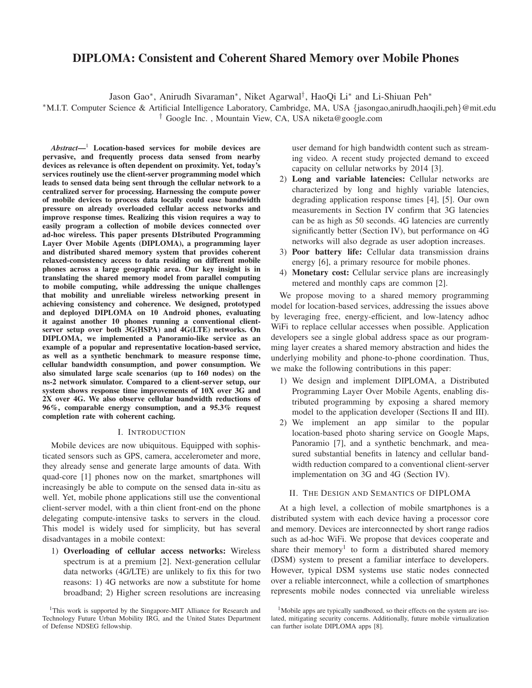# **DIPLOMA: Consistent and Coherent Shared Memory over Mobile Phones**

Jason Gao<sup>∗</sup> , Anirudh Sivaraman<sup>∗</sup> , Niket Agarwal† , HaoQi Li<sup>∗</sup> and Li-Shiuan Peh<sup>∗</sup>

<sup>∗</sup>M.I.T. Computer Science & Artificial Intelligence Laboratory, Cambridge, MA, USA {jasongao,anirudh,haoqili,peh}@mit.edu † Google Inc. , Mountain View, CA, USA niketa@google.com

*Abstract***—**<sup>1</sup> **Location-based services for mobile devices are pervasive, and frequently process data sensed from nearby devices as relevance is often dependent on proximity. Yet, today's services routinely use the client-server programming model which leads to sensed data being sent through the cellular network to a centralized server for processing. Harnessing the compute power of mobile devices to process data locally could ease bandwidth pressure on already overloaded cellular access networks and improve response times. Realizing this vision requires a way to easily program a collection of mobile devices connected over ad-hoc wireless. This paper presents DIstributed Programming Layer Over Mobile Agents (DIPLOMA), a programming layer and distributed shared memory system that provides coherent relaxed-consistency access to data residing on different mobile phones across a large geographic area. Our key insight is in translating the shared memory model from parallel computing to mobile computing, while addressing the unique challenges that mobility and unreliable wireless networking present in achieving consistency and coherence. We designed, prototyped and deployed DIPLOMA on 10 Android phones, evaluating it against another 10 phones running a conventional clientserver setup over both 3G(HSPA) and 4G(LTE) networks. On DIPLOMA, we implemented a Panoramio-like service as an example of a popular and representative location-based service, as well as a synthetic benchmark to measure response time, cellular bandwidth consumption, and power consumption. We also simulated large scale scenarios (up to 160 nodes) on the ns-2 network simulator. Compared to a client-server setup, our system shows response time improvements of 10X over 3G and 2X over 4G. We also observe cellular bandwidth reductions of 96%, comparable energy consumption, and a 95.3% request completion rate with coherent caching.**

### I. INTRODUCTION

Mobile devices are now ubiquitous. Equipped with sophisticated sensors such as GPS, camera, accelerometer and more, they already sense and generate large amounts of data. With quad-core [1] phones now on the market, smartphones will increasingly be able to compute on the sensed data in-situ as well. Yet, mobile phone applications still use the conventional client-server model, with a thin client front-end on the phone delegating compute-intensive tasks to servers in the cloud. This model is widely used for simplicity, but has several disadvantages in a mobile context:

1) **Overloading of cellular access networks:** Wireless spectrum is at a premium [2]. Next-generation cellular data networks (4G/LTE) are unlikely to fix this for two reasons: 1) 4G networks are now a substitute for home broadband; 2) Higher screen resolutions are increasing user demand for high bandwidth content such as streaming video. A recent study projected demand to exceed capacity on cellular networks by 2014 [3].

- 2) **Long and variable latencies:** Cellular networks are characterized by long and highly variable latencies, degrading application response times [4], [5]. Our own measurements in Section IV confirm that 3G latencies can be as high as 50 seconds. 4G latencies are currently significantly better (Section IV), but performance on 4G networks will also degrade as user adoption increases.
- 3) **Poor battery life:** Cellular data transmission drains energy [6], a primary resource for mobile phones.
- 4) **Monetary cost:** Cellular service plans are increasingly metered and monthly caps are common [2].

We propose moving to a shared memory programming model for location-based services, addressing the issues above by leveraging free, energy-efficient, and low-latency adhoc WiFi to replace cellular accesses when possible. Application developers see a single global address space as our programming layer creates a shared memory abstraction and hides the underlying mobility and phone-to-phone coordination. Thus, we make the following contributions in this paper:

- 1) We design and implement DIPLOMA, a Distributed Programming Layer Over Mobile Agents, enabling distributed programming by exposing a shared memory model to the application developer (Sections II and III).
- 2) We implement an app similar to the popular location-based photo sharing service on Google Maps, Panoramio [7], and a synthetic benchmark, and measured substantial benefits in latency and cellular bandwidth reduction compared to a conventional client-server implementation on 3G and 4G (Section IV).

# II. THE DESIGN AND SEMANTICS OF DIPLOMA

At a high level, a collection of mobile smartphones is a distributed system with each device having a processor core and memory. Devices are interconnected by short range radios such as ad-hoc WiFi. We propose that devices cooperate and share their memory<sup>1</sup> to form a distributed shared memory (DSM) system to present a familiar interface to developers. However, typical DSM systems use static nodes connected over a reliable interconnect, while a collection of smartphones represents mobile nodes connected via unreliable wireless

<sup>&</sup>lt;sup>1</sup>This work is supported by the Singapore-MIT Alliance for Research and Technology Future Urban Mobility IRG, and the United States Department of Defense NDSEG fellowship.

<sup>&</sup>lt;sup>1</sup>Mobile apps are typically sandboxed, so their effects on the system are isolated, mitigating security concerns. Additionally, future mobile virtualization can further isolate DIPLOMA apps [8].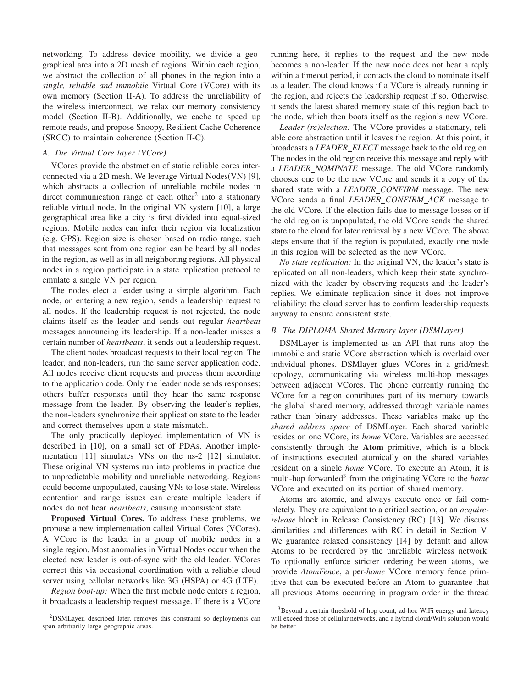networking. To address device mobility, we divide a geographical area into a 2D mesh of regions. Within each region, we abstract the collection of all phones in the region into a *single, reliable and immobile* Virtual Core (VCore) with its own memory (Section II-A). To address the unreliability of the wireless interconnect, we relax our memory consistency model (Section II-B). Additionally, we cache to speed up remote reads, and propose Snoopy, Resilient Cache Coherence (SRCC) to maintain coherence (Section II-C).

### *A. The Virtual Core layer (VCore)*

VCores provide the abstraction of static reliable cores interconnected via a 2D mesh. We leverage Virtual Nodes(VN) [9], which abstracts a collection of unreliable mobile nodes in direct communication range of each other<sup>2</sup> into a stationary reliable virtual node. In the original VN system [10], a large geographical area like a city is first divided into equal-sized regions. Mobile nodes can infer their region via localization (e.g. GPS). Region size is chosen based on radio range, such that messages sent from one region can be heard by all nodes in the region, as well as in all neighboring regions. All physical nodes in a region participate in a state replication protocol to emulate a single VN per region.

The nodes elect a leader using a simple algorithm. Each node, on entering a new region, sends a leadership request to all nodes. If the leadership request is not rejected, the node claims itself as the leader and sends out regular *heartbeat* messages announcing its leadership. If a non-leader misses a certain number of *heartbeats*, it sends out a leadership request.

The client nodes broadcast requests to their local region. The leader, and non-leaders, run the same server application code. All nodes receive client requests and process them according to the application code. Only the leader node sends responses; others buffer responses until they hear the same response message from the leader. By observing the leader's replies, the non-leaders synchronize their application state to the leader and correct themselves upon a state mismatch.

The only practically deployed implementation of VN is described in [10], on a small set of PDAs. Another implementation [11] simulates VNs on the ns-2 [12] simulator. These original VN systems run into problems in practice due to unpredictable mobility and unreliable networking. Regions could become unpopulated, causing VNs to lose state. Wireless contention and range issues can create multiple leaders if nodes do not hear *heartbeats*, causing inconsistent state.

**Proposed Virtual Cores.** To address these problems, we propose a new implementation called Virtual Cores (VCores). A VCore is the leader in a group of mobile nodes in a single region. Most anomalies in Virtual Nodes occur when the elected new leader is out-of-sync with the old leader. VCores correct this via occasional coordination with a reliable cloud server using cellular networks like 3G (HSPA) or 4G (LTE).

*Region boot-up:* When the first mobile node enters a region, it broadcasts a leadership request message. If there is a VCore running here, it replies to the request and the new node becomes a non-leader. If the new node does not hear a reply within a timeout period, it contacts the cloud to nominate itself as a leader. The cloud knows if a VCore is already running in the region, and rejects the leadership request if so. Otherwise, it sends the latest shared memory state of this region back to the node, which then boots itself as the region's new VCore.

*Leader (re)election:* The VCore provides a stationary, reliable core abstraction until it leaves the region. At this point, it broadcasts a *LEADER ELECT* message back to the old region. The nodes in the old region receive this message and reply with a *LEADER NOMINATE* message. The old VCore randomly chooses one to be the new VCore and sends it a copy of the shared state with a *LEADER CONFIRM* message. The new VCore sends a final *LEADER CONFIRM ACK* message to the old VCore. If the election fails due to message losses or if the old region is unpopulated, the old VCore sends the shared state to the cloud for later retrieval by a new VCore. The above steps ensure that if the region is populated, exactly one node in this region will be selected as the new VCore.

*No state replication:* In the original VN, the leader's state is replicated on all non-leaders, which keep their state synchronized with the leader by observing requests and the leader's replies. We eliminate replication since it does not improve reliability: the cloud server has to confirm leadership requests anyway to ensure consistent state.

# *B. The DIPLOMA Shared Memory layer (DSMLayer)*

DSMLayer is implemented as an API that runs atop the immobile and static VCore abstraction which is overlaid over individual phones. DSMlayer glues VCores in a grid/mesh topology, communicating via wireless multi-hop messages between adjacent VCores. The phone currently running the VCore for a region contributes part of its memory towards the global shared memory, addressed through variable names rather than binary addresses. These variables make up the *shared address space* of DSMLayer. Each shared variable resides on one VCore, its *home* VCore. Variables are accessed consistently through the **Atom** primitive, which is a block of instructions executed atomically on the shared variables resident on a single *home* VCore. To execute an Atom, it is multi-hop forwarded<sup>3</sup> from the originating VCore to the *home* VCore and executed on its portion of shared memory.

Atoms are atomic, and always execute once or fail completely. They are equivalent to a critical section, or an *acquirerelease* block in Release Consistency (RC) [13]. We discuss similarities and differences with RC in detail in Section V. We guarantee relaxed consistency [14] by default and allow Atoms to be reordered by the unreliable wireless network. To optionally enforce stricter ordering between atoms, we provide *AtomFence*, a per-*home* VCore memory fence primitive that can be executed before an Atom to guarantee that all previous Atoms occurring in program order in the thread

<sup>2</sup>DSMLayer, described later, removes this constraint so deployments can span arbitrarily large geographic areas.

<sup>&</sup>lt;sup>3</sup>Beyond a certain threshold of hop count, ad-hoc WiFi energy and latency will exceed those of cellular networks, and a hybrid cloud/WiFi solution would be better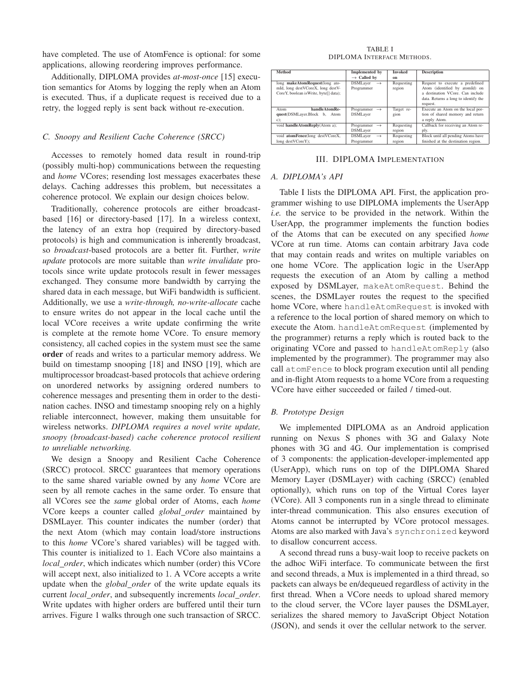have completed. The use of AtomFence is optional: for some applications, allowing reordering improves performance.

Additionally, DIPLOMA provides *at-most-once* [15] execution semantics for Atoms by logging the reply when an Atom is executed. Thus, if a duplicate request is received due to a retry, the logged reply is sent back without re-execution.

# *C. Snoopy and Resilient Cache Coherence (SRCC)*

Accesses to remotely homed data result in round-trip (possibly multi-hop) communications between the requesting and *home* VCores; resending lost messages exacerbates these delays. Caching addresses this problem, but necessitates a coherence protocol. We explain our design choices below.

Traditionally, coherence protocols are either broadcastbased [16] or directory-based [17]. In a wireless context, the latency of an extra hop (required by directory-based protocols) is high and communication is inherently broadcast, so *broadcast*-based protocols are a better fit. Further, *write update* protocols are more suitable than *write invalidate* protocols since write update protocols result in fewer messages exchanged. They consume more bandwidth by carrying the shared data in each message, but WiFi bandwidth is sufficient. Additionally, we use a *write-through, no-write-allocate* cache to ensure writes do not appear in the local cache until the local VCore receives a write update confirming the write is complete at the remote home VCore. To ensure memory consistency, all cached copies in the system must see the same **order** of reads and writes to a particular memory address. We build on timestamp snooping [18] and INSO [19], which are multiprocessor broadcast-based protocols that achieve ordering on unordered networks by assigning ordered numbers to coherence messages and presenting them in order to the destination caches. INSO and timestamp snooping rely on a highly reliable interconnect, however, making them unsuitable for wireless networks. *DIPLOMA requires a novel write update, snoopy (broadcast-based) cache coherence protocol resilient to unreliable networking.*

We design a Snoopy and Resilient Cache Coherence (SRCC) protocol. SRCC guarantees that memory operations to the same shared variable owned by any *home* VCore are seen by all remote caches in the same order. To ensure that all VCores see the *same* global order of Atoms, each *home* VCore keeps a counter called *global order* maintained by DSMLayer. This counter indicates the number (order) that the next Atom (which may contain load/store instructions to this *home* VCore's shared variables) will be tagged with. This counter is initialized to 1. Each VCore also maintains a *local order*, which indicates which number (order) this VCore will accept next, also initialized to 1. A VCore accepts a write update when the *global order* of the write update equals its current *local order*, and subsequently increments *local order*. Write updates with higher orders are buffered until their turn arrives. Figure 1 walks through one such transaction of SRCC.

TABLE I DIPLOMA INTERFACE METHODS.

| <b>Method</b>                                                                                                 | Implemented by<br>$\rightarrow$ Called by    | <b>Invoked</b><br><sub>on</sub> | <b>Description</b>                                                                                                                                        |
|---------------------------------------------------------------------------------------------------------------|----------------------------------------------|---------------------------------|-----------------------------------------------------------------------------------------------------------------------------------------------------------|
| long makeAtomRequest(long ato-<br>mId, long destVCoreX, long destV-<br>CoreY, boolean is Write, byte[] data); | $DSMLaver \rightarrow$<br>Programmer         | Requesting<br>region            | Request to execute a predefined<br>Atom (identified by atomId) on<br>a destination VCore. Can include<br>data. Returns a long to identify the<br>request. |
| handleAtomRe-<br>Atom<br>quest(DSMLayer.Block b, Atom<br>$c$ :                                                | Programmer $\rightarrow$<br><b>DSML</b> aver | Target re-<br>gion              | Execute an Atom on the local por-<br>tion of shared memory and return<br>a reply Atom.                                                                    |
| void handleAtomReply(Atom a);                                                                                 | Programmer $\rightarrow$<br><b>DSML</b> aver | Requesting<br>region            | Callback for receiving an Atom re-<br>ply.                                                                                                                |
| void atomFence(long destVCoreX,<br>long destVCoreY);                                                          | $DSMLaver \rightarrow$<br>Programmer         | Requesting<br>region            | Block until all pending Atoms have<br>finished at the destination region.                                                                                 |

### III. DIPLOMA IMPLEMENTATION

# *A. DIPLOMA's API*

Table I lists the DIPLOMA API. First, the application programmer wishing to use DIPLOMA implements the UserApp *i.e.* the service to be provided in the network. Within the UserApp, the programmer implements the function bodies of the Atoms that can be executed on any specified *home* VCore at run time. Atoms can contain arbitrary Java code that may contain reads and writes on multiple variables on one home VCore. The application logic in the UserApp requests the execution of an Atom by calling a method exposed by DSMLayer, makeAtomRequest. Behind the scenes, the DSMLayer routes the request to the specified home VCore, where handleAtomRequest is invoked with a reference to the local portion of shared memory on which to execute the Atom. handleAtomRequest (implemented by the programmer) returns a reply which is routed back to the originating VCore and passed to handleAtomReply (also implemented by the programmer). The programmer may also call atomFence to block program execution until all pending and in-flight Atom requests to a home VCore from a requesting VCore have either succeeded or failed / timed-out.

# *B. Prototype Design*

We implemented DIPLOMA as an Android application running on Nexus S phones with 3G and Galaxy Note phones with 3G and 4G. Our implementation is comprised of 3 components: the application-developer-implemented app (UserApp), which runs on top of the DIPLOMA Shared Memory Layer (DSMLayer) with caching (SRCC) (enabled optionally), which runs on top of the Virtual Cores layer (VCore). All 3 components run in a single thread to eliminate inter-thread communication. This also ensures execution of Atoms cannot be interrupted by VCore protocol messages. Atoms are also marked with Java's synchronized keyword to disallow concurrent access.

A second thread runs a busy-wait loop to receive packets on the adhoc WiFi interface. To communicate between the first and second threads, a Mux is implemented in a third thread, so packets can always be en/dequeued regardless of activity in the first thread. When a VCore needs to upload shared memory to the cloud server, the VCore layer pauses the DSMLayer, serializes the shared memory to JavaScript Object Notation (JSON), and sends it over the cellular network to the server.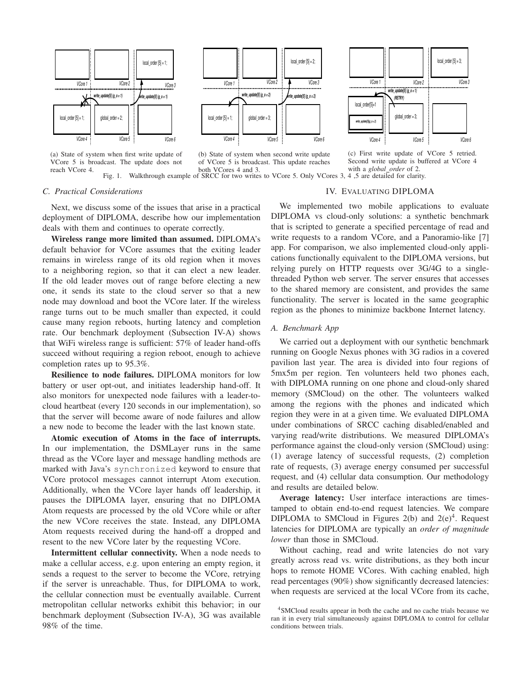

(a) State of system when first write update of VCore 5 is broadcast. The update does not reach VCore 4.



(b) State of system when second write update of VCore 5 is broadcast. This update reaches both VCores 4 and 3.



(c) First write update of VCore 5 retried. Second write update is buffered at VCore 4 with a *global order* of 2.

Fig. 1. Walkthrough example of SRCC for two writes to VCore 5. Only VCores 3, 4 ,5 are detailed for clarity.

# *C. Practical Considerations*

Next, we discuss some of the issues that arise in a practical deployment of DIPLOMA, describe how our implementation deals with them and continues to operate correctly.

**Wireless range more limited than assumed.** DIPLOMA's default behavior for VCore assumes that the exiting leader remains in wireless range of its old region when it moves to a neighboring region, so that it can elect a new leader. If the old leader moves out of range before electing a new one, it sends its state to the cloud server so that a new node may download and boot the VCore later. If the wireless range turns out to be much smaller than expected, it could cause many region reboots, hurting latency and completion rate. Our benchmark deployment (Subsection IV-A) shows that WiFi wireless range is sufficient: 57% of leader hand-offs succeed without requiring a region reboot, enough to achieve completion rates up to 95.3%.

**Resilience to node failures.** DIPLOMA monitors for low battery or user opt-out, and initiates leadership hand-off. It also monitors for unexpected node failures with a leader-tocloud heartbeat (every 120 seconds in our implementation), so that the server will become aware of node failures and allow a new node to become the leader with the last known state.

**Atomic execution of Atoms in the face of interrupts.** In our implementation, the DSMLayer runs in the same thread as the VCore layer and message handling methods are marked with Java's synchronized keyword to ensure that VCore protocol messages cannot interrupt Atom execution. Additionally, when the VCore layer hands off leadership, it pauses the DIPLOMA layer, ensuring that no DIPLOMA Atom requests are processed by the old VCore while or after the new VCore receives the state. Instead, any DIPLOMA Atom requests received during the hand-off a dropped and resent to the new VCore later by the requesting VCore.

**Intermittent cellular connectivity.** When a node needs to make a cellular access, e.g. upon entering an empty region, it sends a request to the server to become the VCore, retrying if the server is unreachable. Thus, for DIPLOMA to work, the cellular connection must be eventually available. Current metropolitan cellular networks exhibit this behavior; in our benchmark deployment (Subsection IV-A), 3G was available 98% of the time.

#### IV. EVALUATING DIPLOMA

We implemented two mobile applications to evaluate DIPLOMA vs cloud-only solutions: a synthetic benchmark that is scripted to generate a specified percentage of read and write requests to a random VCore, and a Panoramio-like [7] app. For comparison, we also implemented cloud-only applications functionally equivalent to the DIPLOMA versions, but relying purely on HTTP requests over 3G/4G to a singlethreaded Python web server. The server ensures that accesses to the shared memory are consistent, and provides the same functionality. The server is located in the same geographic region as the phones to minimize backbone Internet latency.

# *A. Benchmark App*

We carried out a deployment with our synthetic benchmark running on Google Nexus phones with 3G radios in a covered pavilion last year. The area is divided into four regions of 5mx5m per region. Ten volunteers held two phones each, with DIPLOMA running on one phone and cloud-only shared memory (SMCloud) on the other. The volunteers walked among the regions with the phones and indicated which region they were in at a given time. We evaluated DIPLOMA under combinations of SRCC caching disabled/enabled and varying read/write distributions. We measured DIPLOMA's performance against the cloud-only version (SMCloud) using: (1) average latency of successful requests, (2) completion rate of requests, (3) average energy consumed per successful request, and (4) cellular data consumption. Our methodology and results are detailed below.

**Average latency:** User interface interactions are timestamped to obtain end-to-end request latencies. We compare DIPLOMA to SMCloud in Figures  $2(b)$  and  $2(e)^4$ . Request latencies for DIPLOMA are typically an *order of magnitude lower* than those in SMCloud.

Without caching, read and write latencies do not vary greatly across read vs. write distributions, as they both incur hops to remote HOME VCores. With caching enabled, high read percentages (90%) show significantly decreased latencies: when requests are serviced at the local VCore from its cache,

<sup>4</sup>SMCloud results appear in both the cache and no cache trials because we ran it in every trial simultaneously against DIPLOMA to control for cellular conditions between trials.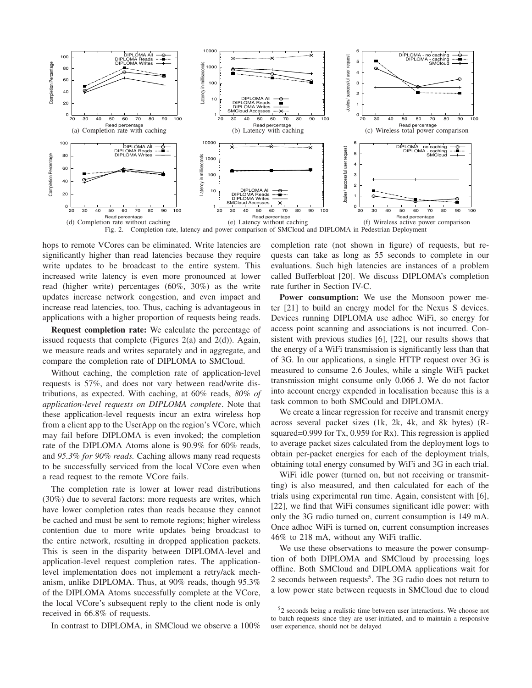

hops to remote VCores can be eliminated. Write latencies are significantly higher than read latencies because they require write updates to be broadcast to the entire system. This increased write latency is even more pronounced at lower read (higher write) percentages (60%, 30%) as the write updates increase network congestion, and even impact and increase read latencies, too. Thus, caching is advantageous in applications with a higher proportion of requests being reads.

**Request completion rate:** We calculate the percentage of issued requests that complete (Figures 2(a) and 2(d)). Again, we measure reads and writes separately and in aggregate, and compare the completion rate of DIPLOMA to SMCloud.

Without caching, the completion rate of application-level requests is 57%, and does not vary between read/write distributions, as expected. With caching, at 60% reads, *80% of application-level requests on DIPLOMA complete*. Note that these application-level requests incur an extra wireless hop from a client app to the UserApp on the region's VCore, which may fail before DIPLOMA is even invoked; the completion rate of the DIPLOMA Atoms alone is 90.9% for 60% reads, and *95.3% for 90% reads.* Caching allows many read requests to be successfully serviced from the local VCore even when a read request to the remote VCore fails.

The completion rate is lower at lower read distributions (30%) due to several factors: more requests are writes, which have lower completion rates than reads because they cannot be cached and must be sent to remote regions; higher wireless contention due to more write updates being broadcast to the entire network, resulting in dropped application packets. This is seen in the disparity between DIPLOMA-level and application-level request completion rates. The applicationlevel implementation does not implement a retry/ack mechanism, unlike DIPLOMA. Thus, at 90% reads, though 95.3% of the DIPLOMA Atoms successfully complete at the VCore, the local VCore's subsequent reply to the client node is only received in 66.8% of requests.

In contrast to DIPLOMA, in SMCloud we observe a 100%

completion rate (not shown in figure) of requests, but requests can take as long as 55 seconds to complete in our evaluations. Such high latencies are instances of a problem called Bufferbloat [20]. We discuss DIPLOMA's completion rate further in Section IV-C.

**Power consumption:** We use the Monsoon power meter [21] to build an energy model for the Nexus S devices. Devices running DIPLOMA use adhoc WiFi, so energy for access point scanning and associations is not incurred. Consistent with previous studies [6], [22], our results shows that the energy of a WiFi transmission is significantly less than that of 3G. In our applications, a single HTTP request over 3G is measured to consume 2.6 Joules, while a single WiFi packet transmission might consume only 0.066 J. We do not factor into account energy expended in localisation because this is a task common to both SMCould and DIPLOMA.

We create a linear regression for receive and transmit energy across several packet sizes (1k, 2k, 4k, and 8k bytes) (Rsquared=0.999 for Tx, 0.959 for Rx). This regression is applied to average packet sizes calculated from the deployment logs to obtain per-packet energies for each of the deployment trials, obtaining total energy consumed by WiFi and 3G in each trial.

WiFi idle power (turned on, but not receiving or transmitting) is also measured, and then calculated for each of the trials using experimental run time. Again, consistent with [6], [22], we find that WiFi consumes significant idle power: with only the 3G radio turned on, current consumption is 149 mA. Once adhoc WiFi is turned on, current consumption increases 46% to 218 mA, without any WiFi traffic.

We use these observations to measure the power consumption of both DIPLOMA and SMCloud by processing logs offline. Both SMCloud and DIPLOMA applications wait for 2 seconds between requests<sup>5</sup>. The 3G radio does not return to a low power state between requests in SMCloud due to cloud

<sup>5</sup>2 seconds being a realistic time between user interactions. We choose not to batch requests since they are user-initiated, and to maintain a responsive user experience, should not be delayed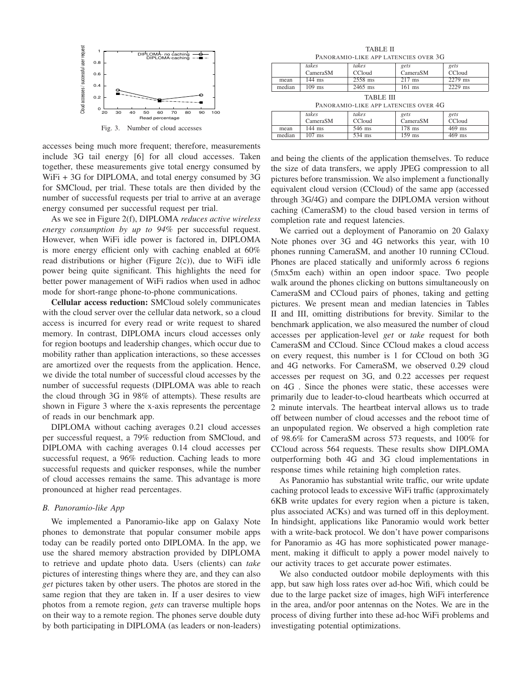

accesses being much more frequent; therefore, measurements include 3G tail energy [6] for all cloud accesses. Taken together, these measurements give total energy consumed by WiFi + 3G for DIPLOMA, and total energy consumed by 3G for SMCloud, per trial. These totals are then divided by the number of successful requests per trial to arrive at an average energy consumed per successful request per trial.

As we see in Figure 2(f), DIPLOMA *reduces active wireless energy consumption by up to 94%* per successful request. However, when WiFi idle power is factored in, DIPLOMA is more energy efficient only with caching enabled at 60% read distributions or higher (Figure 2(c)), due to WiFi idle power being quite significant. This highlights the need for better power management of WiFi radios when used in adhoc mode for short-range phone-to-phone communications.

**Cellular access reduction:** SMCloud solely communicates with the cloud server over the cellular data network, so a cloud access is incurred for every read or write request to shared memory. In contrast, DIPLOMA incurs cloud accesses only for region bootups and leadership changes, which occur due to mobility rather than application interactions, so these accesses are amortized over the requests from the application. Hence, we divide the total number of successful cloud accesses by the number of successful requests (DIPLOMA was able to reach the cloud through 3G in 98% of attempts). These results are shown in Figure 3 where the x-axis represents the percentage of reads in our benchmark app.

DIPLOMA without caching averages 0.21 cloud accesses per successful request, a 79% reduction from SMCloud, and DIPLOMA with caching averages 0.14 cloud accesses per successful request, a 96% reduction. Caching leads to more successful requests and quicker responses, while the number of cloud accesses remains the same. This advantage is more pronounced at higher read percentages.

### *B. Panoramio-like App*

We implemented a Panoramio-like app on Galaxy Note phones to demonstrate that popular consumer mobile apps today can be readily ported onto DIPLOMA. In the app, we use the shared memory abstraction provided by DIPLOMA to retrieve and update photo data. Users (clients) can *take* pictures of interesting things where they are, and they can also *get* pictures taken by other users. The photos are stored in the same region that they are taken in. If a user desires to view photos from a remote region, *gets* can traverse multiple hops on their way to a remote region. The phones serve double duty by both participating in DIPLOMA (as leaders or non-leaders)

TABLE II PANORAMIO-LIKE APP LATENCIES OVER 3G

|           | takes    | takes   | gets     | gets    |  |  |  |
|-----------|----------|---------|----------|---------|--|--|--|
|           | CameraSM | CCloud  | CameraSM | CCloud  |  |  |  |
| mean      | 144 ms   | 2558 ms | $217$ ms | 2279 ms |  |  |  |
| median    | $109$ ms | 2465 ms | $161$ ms | 2229 ms |  |  |  |
| TABLE III |          |         |          |         |  |  |  |

PANORAMIO-LIKE APP LATENCIES OVER 4G

|        | takes    | takes  | gets     | gets     |  |  |  |
|--------|----------|--------|----------|----------|--|--|--|
|        | CameraSM | CCloud | CameraSM | CCloud   |  |  |  |
| mean   | 144 ms   | 546 ms | $178$ ms | $469$ ms |  |  |  |
| median | $107$ ms | 534 ms | $159$ ms | $469$ ms |  |  |  |

and being the clients of the application themselves. To reduce the size of data transfers, we apply JPEG compression to all pictures before transmission. We also implement a functionally equivalent cloud version (CCloud) of the same app (accessed through 3G/4G) and compare the DIPLOMA version without caching (CameraSM) to the cloud based version in terms of completion rate and request latencies.

We carried out a deployment of Panoramio on 20 Galaxy Note phones over 3G and 4G networks this year, with 10 phones running CameraSM, and another 10 running CCloud. Phones are placed statically and uniformly across 6 regions (5mx5m each) within an open indoor space. Two people walk around the phones clicking on buttons simultaneously on CameraSM and CCloud pairs of phones, taking and getting pictures. We present mean and median latencies in Tables II and III, omitting distributions for brevity. Similar to the benchmark application, we also measured the number of cloud accesses per application-level *get* or *take* request for both CameraSM and CCloud. Since CCloud makes a cloud access on every request, this number is 1 for CCloud on both 3G and 4G networks. For CameraSM, we observed 0.29 cloud accesses per request on 3G, and 0.22 accesses per request on 4G . Since the phones were static, these accesses were primarily due to leader-to-cloud heartbeats which occurred at 2 minute intervals. The heartbeat interval allows us to trade off between number of cloud accesses and the reboot time of an unpopulated region. We observed a high completion rate of 98.6% for CameraSM across 573 requests, and 100% for CCloud across 564 requests. These results show DIPLOMA outperforming both 4G and 3G cloud implementations in response times while retaining high completion rates.

As Panoramio has substantial write traffic, our write update caching protocol leads to excessive WiFi traffic (approximately 6KB write updates for every region when a picture is taken, plus associated ACKs) and was turned off in this deployment. In hindsight, applications like Panoramio would work better with a write-back protocol. We don't have power comparisons for Panoramio as 4G has more sophisticated power management, making it difficult to apply a power model naively to our activity traces to get accurate power estimates.

We also conducted outdoor mobile deployments with this app, but saw high loss rates over ad-hoc Wifi, which could be due to the large packet size of images, high WiFi interference in the area, and/or poor antennas on the Notes. We are in the process of diving further into these ad-hoc WiFi problems and investigating potential optimizations.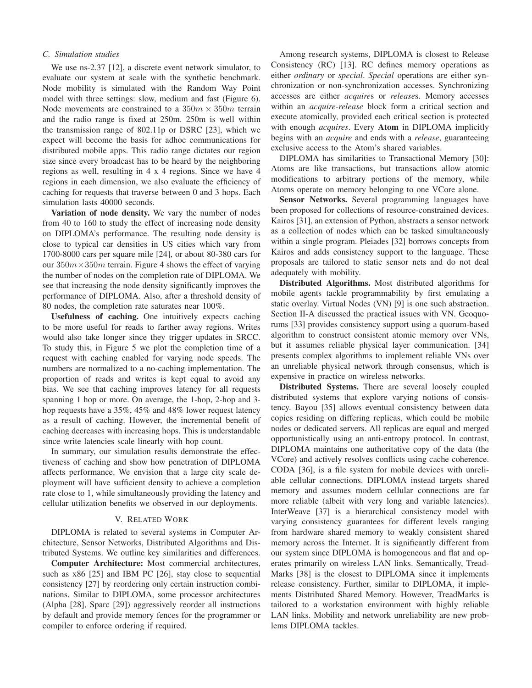# *C. Simulation studies*

We use ns-2.37 [12], a discrete event network simulator, to evaluate our system at scale with the synthetic benchmark. Node mobility is simulated with the Random Way Point model with three settings: slow, medium and fast (Figure 6). Node movements are constrained to a  $350m \times 350m$  terrain and the radio range is fixed at 250m. 250m is well within the transmission range of 802.11p or DSRC [23], which we expect will become the basis for adhoc communications for distributed mobile apps. This radio range dictates our region size since every broadcast has to be heard by the neighboring regions as well, resulting in 4 x 4 regions. Since we have 4 regions in each dimension, we also evaluate the efficiency of caching for requests that traverse between 0 and 3 hops. Each simulation lasts 40000 seconds.

**Variation of node density.** We vary the number of nodes from 40 to 160 to study the effect of increasing node density on DIPLOMA's performance. The resulting node density is close to typical car densities in US cities which vary from 1700-8000 cars per square mile [24], or about 80-380 cars for our  $350m \times 350m$  terrain. Figure 4 shows the effect of varying the number of nodes on the completion rate of DIPLOMA. We see that increasing the node density significantly improves the performance of DIPLOMA. Also, after a threshold density of 80 nodes, the completion rate saturates near 100%.

**Usefulness of caching.** One intuitively expects caching to be more useful for reads to farther away regions. Writes would also take longer since they trigger updates in SRCC. To study this, in Figure 5 we plot the completion time of a request with caching enabled for varying node speeds. The numbers are normalized to a no-caching implementation. The proportion of reads and writes is kept equal to avoid any bias. We see that caching improves latency for all requests spanning 1 hop or more. On average, the 1-hop, 2-hop and 3 hop requests have a 35%, 45% and 48% lower request latency as a result of caching. However, the incremental benefit of caching decreases with increasing hops. This is understandable since write latencies scale linearly with hop count.

In summary, our simulation results demonstrate the effectiveness of caching and show how penetration of DIPLOMA affects performance. We envision that a large city scale deployment will have sufficient density to achieve a completion rate close to 1, while simultaneously providing the latency and cellular utilization benefits we observed in our deployments.

#### V. RELATED WORK

DIPLOMA is related to several systems in Computer Architecture, Sensor Networks, Distributed Algorithms and Distributed Systems. We outline key similarities and differences.

**Computer Architecture:** Most commercial architectures, such as x86 [25] and IBM PC [26], stay close to sequential consistency [27] by reordering only certain instruction combinations. Similar to DIPLOMA, some processor architectures (Alpha [28], Sparc [29]) aggressively reorder all instructions by default and provide memory fences for the programmer or compiler to enforce ordering if required.

Among research systems, DIPLOMA is closest to Release Consistency (RC) [13]. RC defines memory operations as either *ordinary* or *special*. *Special* operations are either synchronization or non-synchronization accesses. Synchronizing accesses are either *acquire*s or *release*s. Memory accesses within an *acquire*-*release* block form a critical section and execute atomically, provided each critical section is protected with enough *acquires*. Every **Atom** in DIPLOMA implicitly begins with an *acquire* and ends with a *release*, guaranteeing exclusive access to the Atom's shared variables.

DIPLOMA has similarities to Transactional Memory [30]: Atoms are like transactions, but transactions allow atomic modifications to arbitrary portions of the memory, while Atoms operate on memory belonging to one VCore alone.

**Sensor Networks.** Several programming languages have been proposed for collections of resource-constrained devices. Kairos [31], an extension of Python, abstracts a sensor network as a collection of nodes which can be tasked simultaneously within a single program. Pleiades [32] borrows concepts from Kairos and adds consistency support to the language. These proposals are tailored to static sensor nets and do not deal adequately with mobility.

**Distributed Algorithms.** Most distributed algorithms for mobile agents tackle programmability by first emulating a static overlay. Virtual Nodes (VN) [9] is one such abstraction. Section II-A discussed the practical issues with VN. Geoquorums [33] provides consistency support using a quorum-based algorithm to construct consistent atomic memory over VNs, but it assumes reliable physical layer communication. [34] presents complex algorithms to implement reliable VNs over an unreliable physical network through consensus, which is expensive in practice on wireless networks.

**Distributed Systems.** There are several loosely coupled distributed systems that explore varying notions of consistency. Bayou [35] allows eventual consistency between data copies residing on differing replicas, which could be mobile nodes or dedicated servers. All replicas are equal and merged opportunistically using an anti-entropy protocol. In contrast, DIPLOMA maintains one authoritative copy of the data (the VCore) and actively resolves conflicts using cache coherence. CODA [36], is a file system for mobile devices with unreliable cellular connections. DIPLOMA instead targets shared memory and assumes modern cellular connections are far more reliable (albeit with very long and variable latencies). InterWeave [37] is a hierarchical consistency model with varying consistency guarantees for different levels ranging from hardware shared memory to weakly consistent shared memory across the Internet. It is significantly different from our system since DIPLOMA is homogeneous and flat and operates primarily on wireless LAN links. Semantically, Tread-Marks [38] is the closest to DIPLOMA since it implements release consistency. Further, similar to DIPLOMA, it implements Distributed Shared Memory. However, TreadMarks is tailored to a workstation environment with highly reliable LAN links. Mobility and network unreliability are new problems DIPLOMA tackles.